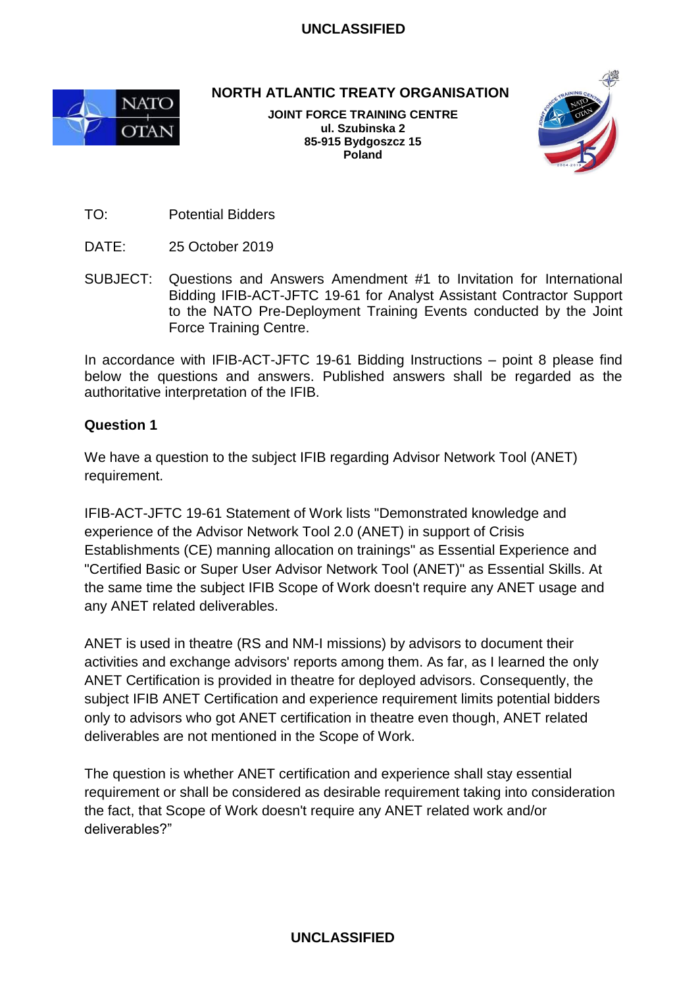

**NORTH ATLANTIC TREATY ORGANISATION**

**JOINT FORCE TRAINING CENTRE ul. Szubinska 2 85-915 Bydgoszcz 15 Poland**



TO: Potential Bidders

- DATE: 25 October 2019
- SUBJECT: Questions and Answers Amendment #1 to Invitation for International Bidding IFIB-ACT-JFTC 19-61 for Analyst Assistant Contractor Support to the NATO Pre-Deployment Training Events conducted by the Joint Force Training Centre.

In accordance with IFIB-ACT-JFTC 19-61 Bidding Instructions – point 8 please find below the questions and answers. Published answers shall be regarded as the authoritative interpretation of the IFIB.

## **Question 1**

We have a question to the subject IFIB regarding Advisor Network Tool (ANET) requirement.

IFIB-ACT-JFTC 19-61 Statement of Work lists "Demonstrated knowledge and experience of the Advisor Network Tool 2.0 (ANET) in support of Crisis Establishments (CE) manning allocation on trainings" as Essential Experience and "Certified Basic or Super User Advisor Network Tool (ANET)" as Essential Skills. At the same time the subject IFIB Scope of Work doesn't require any ANET usage and any ANET related deliverables.

ANET is used in theatre (RS and NM-I missions) by advisors to document their activities and exchange advisors' reports among them. As far, as I learned the only ANET Certification is provided in theatre for deployed advisors. Consequently, the subject IFIB ANET Certification and experience requirement limits potential bidders only to advisors who got ANET certification in theatre even though, ANET related deliverables are not mentioned in the Scope of Work.

The question is whether ANET certification and experience shall stay essential requirement or shall be considered as desirable requirement taking into consideration the fact, that Scope of Work doesn't require any ANET related work and/or deliverables?"